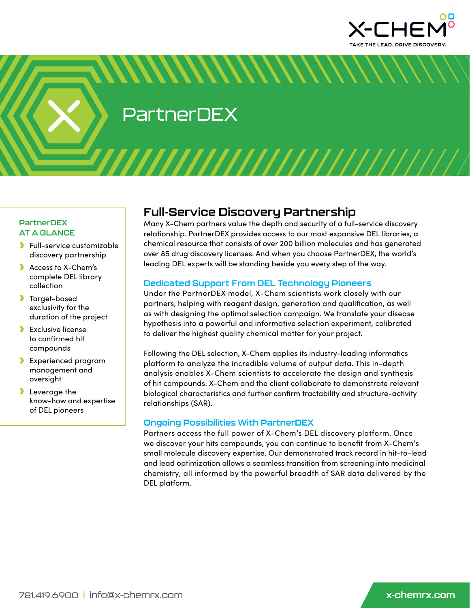

PartnerDEX

# **PartnerDEX AT A GLANCE**

- Full-service customizable discovery partnership
- **Access to X-Chem's** complete DEL library collection
- **Target-based** exclusivity for the duration of the project
- **Exclusive license** to confirmed hit compounds
- **Experienced program** management and oversight
- **b** Leverage the know-how and expertise of DEL pioneers

# **Full-Service Discovery Partnership**

<u>ININININININININ</u>

Many X-Chem partners value the depth and security of a full-service discovery relationship. PartnerDEX provides access to our most expansive DEL libraries, a chemical resource that consists of over 200 billion molecules and has generated over 85 drug discovery licenses. And when you choose PartnerDEX, the world's leading DEL experts will be standing beside you every step of the way.

# **Dedicated Support From DEL Technology Pioneers**

Under the PartnerDEX model, X-Chem scientists work closely with our partners, helping with reagent design, generation and qualification, as well as with designing the optimal selection campaign. We translate your disease hypothesis into a powerful and informative selection experiment, calibrated to deliver the highest quality chemical matter for your project.

Following the DEL selection, X-Chem applies its industry-leading informatics platform to analyze the incredible volume of output data. This in-depth analysis enables X-Chem scientists to accelerate the design and synthesis of hit compounds. X-Chem and the client collaborate to demonstrate relevant biological characteristics and further confirm tractability and structure-activity relationships (SAR).

## **Ongoing Possibilities With PartnerDEX**

Partners access the full power of X-Chem's DEL discovery platform. Once we discover your hits compounds, you can continue to benefit from X-Chem's small molecule discovery expertise. Our demonstrated track record in hit-to-lead and lead optimization allows a seamless transition from screening into medicinal chemistry, all informed by the powerful breadth of SAR data delivered by the DEL platform.